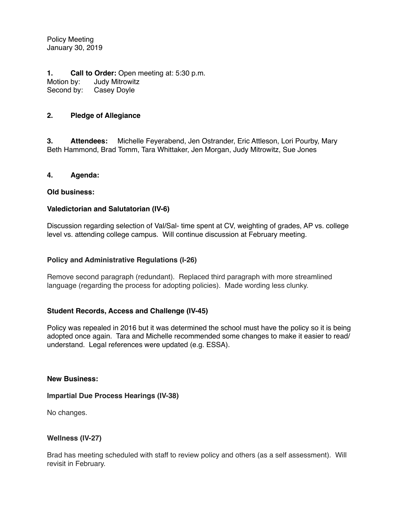Policy Meeting January 30, 2019

**1. Call to Order:** Open meeting at: 5:30 p.m.<br>Motion by: Judy Mitrowitz Judy Mitrowitz Second by: Casey Doyle

## **2. Pledge of Allegiance**

**3. Attendees:** Michelle Feyerabend, Jen Ostrander, Eric Attleson, Lori Pourby, Mary Beth Hammond, Brad Tomm, Tara Whittaker, Jen Morgan, Judy Mitrowitz, Sue Jones

#### **4. Agenda:**

#### **Old business:**

## **Valedictorian and Salutatorian (IV-6)**

Discussion regarding selection of Val/Sal- time spent at CV, weighting of grades, AP vs. college level vs. attending college campus. Will continue discussion at February meeting.

## **Policy and Administrative Regulations (I-26)**

Remove second paragraph (redundant). Replaced third paragraph with more streamlined language (regarding the process for adopting policies). Made wording less clunky.

## **Student Records, Access and Challenge (IV-45)**

Policy was repealed in 2016 but it was determined the school must have the policy so it is being adopted once again. Tara and Michelle recommended some changes to make it easier to read/ understand. Legal references were updated (e.g. ESSA).

#### **New Business:**

## **Impartial Due Process Hearings (IV-38)**

No changes.

## **Wellness (IV-27)**

Brad has meeting scheduled with staff to review policy and others (as a self assessment). Will revisit in February.